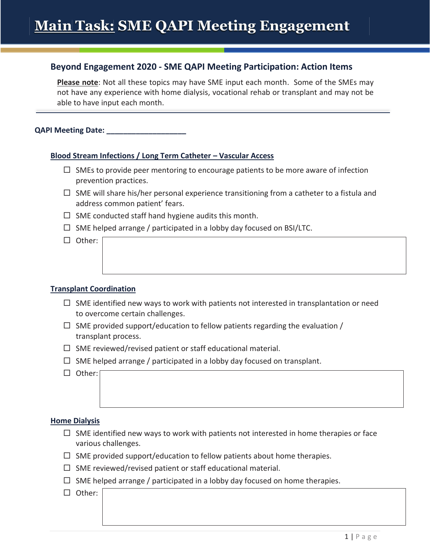# **Beyond Engagement 2020 - SME QAPI Meeting Participation: Action Items**

**Please note**: Not all these topics may have SME input each month. Some of the SMEs may not have any experience with home dialysis, vocational rehab or transplant and may not be able to have input each month.

**QAPI Meeting Date:** 

## **Blood Stream Infections / Long Term Catheter – Vascular Access**

- $\Box$  SMEs to provide peer mentoring to encourage patients to be more aware of infection prevention practices.
- $\Box$  SME will share his/her personal experience transitioning from a catheter to a fistula and address common patient' fears.
- $\Box$  SME conducted staff hand hygiene audits this month.
- $\Box$  SME helped arrange / participated in a lobby day focused on BSI/LTC.

 $\Box$  Other:

## **Transplant Coordination**

- $\Box$  SME identified new ways to work with patients not interested in transplantation or need to overcome certain challenges.
- $\Box$  SME provided support/education to fellow patients regarding the evaluation / transplant process.
- $\Box$  SME reviewed/revised patient or staff educational material.
- $\Box$  SME helped arrange / participated in a lobby day focused on transplant.
- $\Box$  Other:

### **Home Dialysis**

- $\Box$  SME identified new ways to work with patients not interested in home therapies or face various challenges.
- $\Box$  SME provided support/education to fellow patients about home therapies.
- $\Box$  SME reviewed/revised patient or staff educational material.
- $\Box$  SME helped arrange / participated in a lobby day focused on home therapies.
- □ Other: